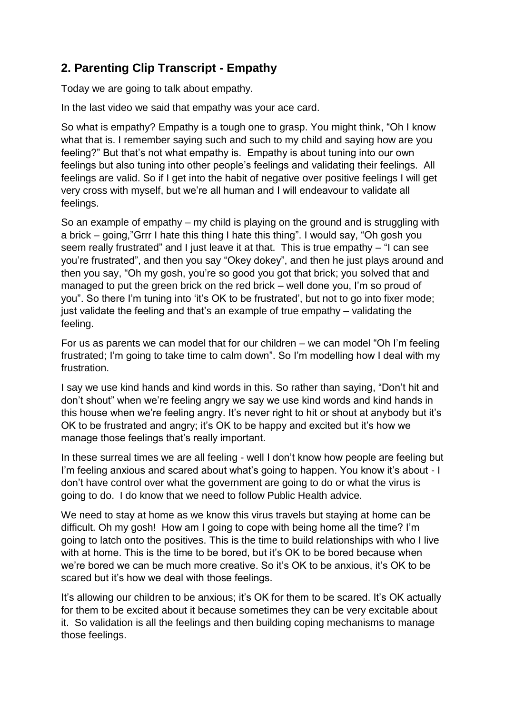## **2. Parenting Clip Transcript - Empathy**

Today we are going to talk about empathy.

In the last video we said that empathy was your ace card.

So what is empathy? Empathy is a tough one to grasp. You might think, "Oh I know what that is. I remember saying such and such to my child and saying how are you feeling?" But that's not what empathy is. Empathy is about tuning into our own feelings but also tuning into other people's feelings and validating their feelings. All feelings are valid. So if I get into the habit of negative over positive feelings I will get very cross with myself, but we're all human and I will endeavour to validate all feelings.

So an example of empathy – my child is playing on the ground and is struggling with a brick – going,"Grrr I hate this thing I hate this thing". I would say, "Oh gosh you seem really frustrated" and I just leave it at that. This is true empathy – "I can see you're frustrated", and then you say "Okey dokey", and then he just plays around and then you say, "Oh my gosh, you're so good you got that brick; you solved that and managed to put the green brick on the red brick – well done you, I'm so proud of you". So there I'm tuning into 'it's OK to be frustrated', but not to go into fixer mode; just validate the feeling and that's an example of true empathy – validating the feeling.

For us as parents we can model that for our children – we can model "Oh I'm feeling frustrated; I'm going to take time to calm down". So I'm modelling how I deal with my frustration.

I say we use kind hands and kind words in this. So rather than saying, "Don't hit and don't shout" when we're feeling angry we say we use kind words and kind hands in this house when we're feeling angry. It's never right to hit or shout at anybody but it's OK to be frustrated and angry; it's OK to be happy and excited but it's how we manage those feelings that's really important.

In these surreal times we are all feeling - well I don't know how people are feeling but I'm feeling anxious and scared about what's going to happen. You know it's about - I don't have control over what the government are going to do or what the virus is going to do. I do know that we need to follow Public Health advice.

We need to stay at home as we know this virus travels but staying at home can be difficult. Oh my gosh! How am I going to cope with being home all the time? I'm going to latch onto the positives. This is the time to build relationships with who I live with at home. This is the time to be bored, but it's OK to be bored because when we're bored we can be much more creative. So it's OK to be anxious, it's OK to be scared but it's how we deal with those feelings.

It's allowing our children to be anxious; it's OK for them to be scared. It's OK actually for them to be excited about it because sometimes they can be very excitable about it. So validation is all the feelings and then building coping mechanisms to manage those feelings.